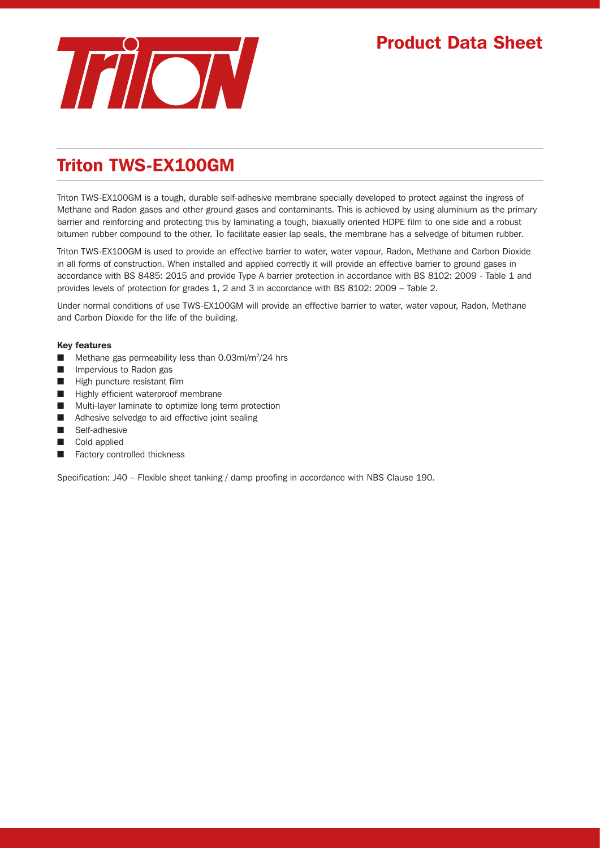

## Triton TWS-EX100GM

Triton TWS-EX100GM is a tough, durable self-adhesive membrane specially developed to protect against the ingress of Methane and Radon gases and other ground gases and contaminants. This is achieved by using aluminium as the primary barrier and reinforcing and protecting this by laminating a tough, biaxually oriented HDPE film to one side and a robust bitumen rubber compound to the other. To facilitate easier lap seals, the membrane has a selvedge of bitumen rubber.

Triton TWS-EX100GM is used to provide an effective barrier to water, water vapour, Radon, Methane and Carbon Dioxide in all forms of construction. When installed and applied correctly it will provide an effective barrier to ground gases in accordance with BS 8485: 2015 and provide Type A barrier protection in accordance with BS 8102: 2009 - Table 1 and provides levels of protection for grades 1, 2 and 3 in accordance with BS 8102: 2009 – Table 2.

Under normal conditions of use TWS-EX100GM will provide an effective barrier to water, water vapour, Radon, Methane and Carbon Dioxide for the life of the building.

## Key features

- Methane gas permeability less than 0.03ml/m<sup>2</sup>/24 hrs
- Impervious to Radon gas
- High puncture resistant film
- Highly efficient waterproof membrane
- Multi-layer laminate to optimize long term protection
- Adhesive selvedge to aid effective joint sealing
- Self-adhesive
- Cold applied
- Factory controlled thickness

Specification: J40 – Flexible sheet tanking / damp proofing in accordance with NBS Clause 190.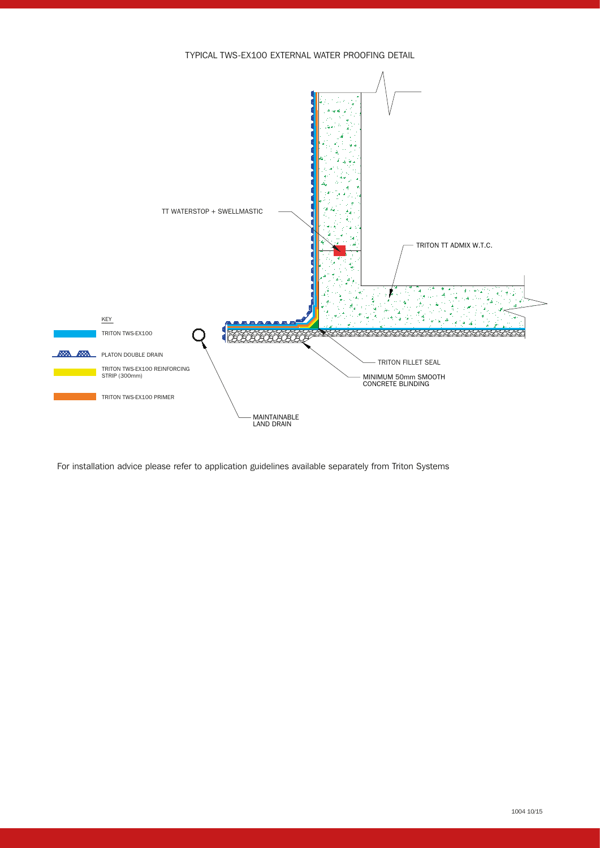



For installation advice please refer to application guidelines available separately from Triton Systems